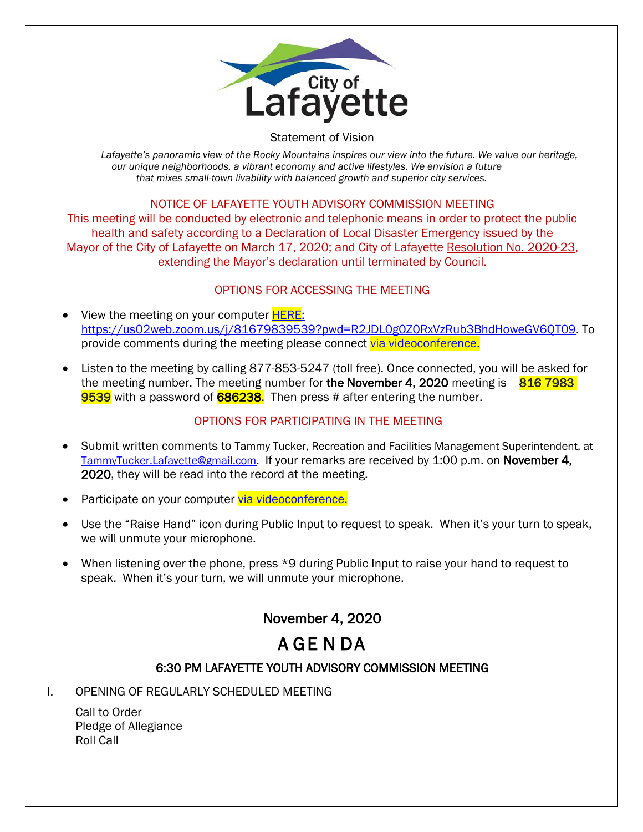

#### Statement of Vision

Lafayette's panoramic view of the Rocky Mountains inspires our view into the future. We value our heritage, *our unique neighborhoods, a vibrant economy and active lifestyles. We envision a future that mixes small-town livability with balanced growth and superior city services.*

### NOTICE OF LAFAYETTE YOUTH ADVISORY COMMISSION MEETING

This meeting will be conducted by electronic and telephonic means in order to protect the public health and safety according to a Declaration of Local Disaster Emergency issued by the Mayor of the City of Lafayette on March 17, 2020; and City of Lafayette Resolution No. 2020-23, extending the Mayor's declaration until terminated by Council.

### OPTIONS FOR ACCESSING THE MEETING

- View the meeting on your computer **HERE**: https://us02web.zoom.us/j/81679839539?pwd=R2JDL0g0Z0RxVzRub3BhdHoweGV6QT09. To provide comments during the meeting please connect [via videoconference.](https://us02web.zoom.us/j/81679839539?pwd=R2JDL0g0Z0RxVzRub3BhdHoweGV6QT09)
- Listen to the meeting by calling 877-853-5247 (toll free). Once connected, you will be asked for the meeting number. The meeting number for the November 4, 2020 meeting is  $8167983$ 9539 with a password of 686238. Then press # after entering the number.

### OPTIONS FOR PARTICIPATING IN THE MEETING

- Submit written comments to Tammy Tucker, Recreation and Facilities Management Superintendent, at [TammyTucker.Lafayette@gmail.com.](mailto:TammyTucker.Lafayette@gmail.com) If your remarks are received by 1:00 p.m. on November 4, 2020, they will be read into the record at the meeting.
- Participate on your computer [via videoconference.](https://us02web.zoom.us/j/81679839539?pwd=R2JDL0g0Z0RxVzRub3BhdHoweGV6QT09)
- Use the "Raise Hand" icon during Public Input to request to speak. When it's your turn to speak, we will unmute your microphone.
- When listening over the phone, press \*9 during Public Input to raise your hand to request to speak. When it's your turn, we will unmute your microphone.

# November 4, 2020

# A GE N DA

## 6:30 PM LAFAYETTE YOUTH ADVISORY COMMISSION MEETING

I. OPENING OF REGULARLY SCHEDULED MEETING

Call to Order Pledge of Allegiance Roll Call